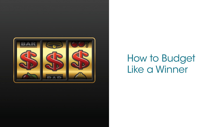

# How to Budget Like a Winner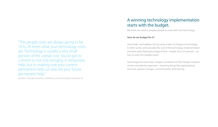"The people costs are always going to be 10 to 20 times what your technology costs are. Technology is usually a very small portion of the overall cost. You've got to commit to not only bringing in temporary help, but to making sure your current permanent help can also be your future permanent help."

JIM HAAR | VP, GLOBAL ACCOUNTS, CUSTOMER SUCCESS AND TECHNICAL EXCELLENCE, HP

## A winning technology implementation starts with the budget.

We know we need to prepare people to work with new technology.

#### **How do we budget for it?**

Historically, we'd address this by using a ratio of change to technology. In other words, we'd calculate the cost of the technology implementation and then add a fixed percentage of that—maybe 20 to 25 percent—on top, to cover the "people issues."

Technology has never been cheaper. Sometimes it's free. People, however, remain consistently expensive—requiring things like organizational structure, process changes, communication, and training.